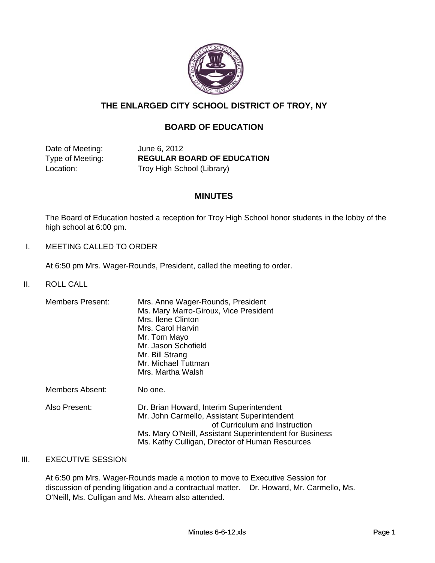

# **THE ENLARGED CITY SCHOOL DISTRICT OF TROY, NY**

# **BOARD OF EDUCATION**

Date of Meeting: June 6, 2012

Type of Meeting: **REGULAR BOARD OF EDUCATION** Location: Troy High School (Library)

## **MINUTES**

The Board of Education hosted a reception for Troy High School honor students in the lobby of the high school at 6:00 pm.

## I. MEETING CALLED TO ORDER

At 6:50 pm Mrs. Wager-Rounds, President, called the meeting to order.

II. ROLL CALL

| <b>Members Present:</b> | Mrs. Anne Wager-Rounds, President<br>Ms. Mary Marro-Giroux, Vice President<br>Mrs. Ilene Clinton<br>Mrs. Carol Harvin<br>Mr. Tom Mayo<br>Mr. Jason Schofield<br>Mr. Bill Strang<br>Mr. Michael Tuttman<br>Mrs. Martha Walsh |
|-------------------------|-----------------------------------------------------------------------------------------------------------------------------------------------------------------------------------------------------------------------------|
| Members Absent:         | No one.                                                                                                                                                                                                                     |

| Dr. Brian Howard, Interim Superintendent                |
|---------------------------------------------------------|
| Mr. John Carmello, Assistant Superintendent             |
| of Curriculum and Instruction                           |
| Ms. Mary O'Neill, Assistant Superintendent for Business |
| Ms. Kathy Culligan, Director of Human Resources         |
|                                                         |

## III. EXECUTIVE SESSION

At 6:50 pm Mrs. Wager-Rounds made a motion to move to Executive Session for discussion of pending litigation and a contractual matter. Dr. Howard, Mr. Carmello, Ms. O'Neill, Ms. Culligan and Ms. Ahearn also attended.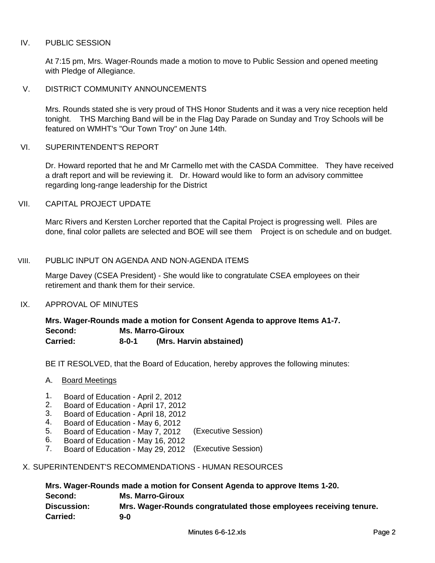### IV. PUBLIC SESSION

At 7:15 pm, Mrs. Wager-Rounds made a motion to move to Public Session and opened meeting with Pledge of Allegiance.

#### V. DISTRICT COMMUNITY ANNOUNCEMENTS

Mrs. Rounds stated she is very proud of THS Honor Students and it was a very nice reception held tonight. THS Marching Band will be in the Flag Day Parade on Sunday and Troy Schools will be featured on WMHT's "Our Town Troy" on June 14th.

### VI. SUPERINTENDENT'S REPORT

Dr. Howard reported that he and Mr Carmello met with the CASDA Committee. They have received a draft report and will be reviewing it. Dr. Howard would like to form an advisory committee regarding long-range leadership for the District

## VII. CAPITAL PROJECT UPDATE

Marc Rivers and Kersten Lorcher reported that the Capital Project is progressing well. Piles are done, final color pallets are selected and BOE will see them Project is on schedule and on budget.

### VIII. PUBLIC INPUT ON AGENDA AND NON-AGENDA ITEMS PUBLIC INPUT ON AGENDA AND NON AGENDA

Marge Davey (CSEA President) - She would like to congratulate CSEA employees on their retirement and thank them for their service.

### IX. APPROVAL OF MINUTES

#### **Mrs. Wager-Rounds made a motion for Consent Agenda to approve Items A1-7. Second: Ms. Marro-Giroux Carried: (Mrs. Harvin abstained) 8-0-1**

BE IT RESOLVED, that the Board of Education, hereby approves the following minutes:

- A. Board Meetings
- 1. Board of Education April 2, 2012
- 2. Board of Education April 17, 2012
- 3. Board of Education April 18, 2012
- 4. Board of Education May 6, 2012<br>5. Board of Education May 7, 2012
- 5. Board of Education May 7, 2012 (Executive Session)
- 6. Board of Education May 16, 2012
- 7. Board of Education May 29, 2012 (Executive Session)

## X. SUPERINTENDENT'S RECOMMENDATIONS - HUMAN RESOURCES

**Mrs. Wager-Rounds made a motion for Consent Agenda to approve Items 1-20. Second: Ms. Marro-Giroux Discussion: Mrs. Wager-Rounds congratulated those employees receiving tenure. Carried: 9-0**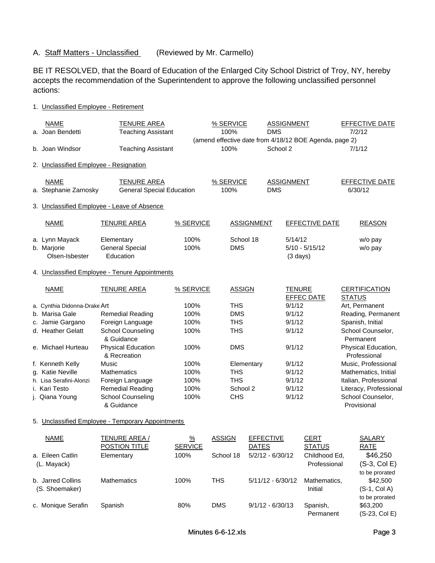## A. Staff Matters - Unclassified (Reviewed by Mr. Carmello)

BE IT RESOLVED, that the Board of Education of the Enlarged City School District of Troy, NY, hereby accepts the recommendation of the Superintendent to approve the following unclassified personnel actions:

#### 1. Unclassified Employee - Retirement

| <b>NAME</b><br>a. Joan Bendetti<br>b. Joan Windsor | <b>TENURE AREA</b><br><b>Teaching Assistant</b><br><b>Teaching Assistant</b> |                                         | % SERVICE<br>100%<br>100%  |                                  | <b>ASSIGNMENT</b><br><b>DMS</b><br>School 2 | (amend effective date from 4/18/12 BOE Agenda, page 2) | <b>EFFECTIVE DATE</b><br>7/2/12<br>7/1/12 |
|----------------------------------------------------|------------------------------------------------------------------------------|-----------------------------------------|----------------------------|----------------------------------|---------------------------------------------|--------------------------------------------------------|-------------------------------------------|
| 2. Unclassified Employee - Resignation             |                                                                              |                                         |                            |                                  |                                             |                                                        |                                           |
| <b>NAME</b><br>a. Stephanie Zarnosky               | <b>TENURE AREA</b><br><b>General Special Education</b>                       |                                         | % SERVICE<br>100%          |                                  | <b>ASSIGNMENT</b><br><b>DMS</b>             |                                                        | EFFECTIVE DATE<br>6/30/12                 |
|                                                    | 3. Unclassified Employee - Leave of Absence                                  |                                         |                            |                                  |                                             |                                                        |                                           |
| <b>NAME</b>                                        | <b>TENURE AREA</b>                                                           | % SERVICE                               |                            | ASSIGNMENT                       |                                             | EFFECTIVE DATE                                         | <b>REASON</b>                             |
| a. Lynn Mayack<br>b. Marjorie<br>Olsen-Isbester    | Elementary<br><b>General Special</b><br>Education                            | 100%<br>100%                            |                            | School 18<br><b>DMS</b>          | 5/14/12<br>$(3 \text{ days})$               | $5/10 - 5/15/12$                                       | w/o pay<br>w/o pay                        |
|                                                    | 4. Unclassified Employee - Tenure Appointments                               |                                         |                            |                                  |                                             |                                                        |                                           |
| <b>NAME</b>                                        | <b>TENURE AREA</b>                                                           | % SERVICE                               |                            | <b>ASSIGN</b>                    | <b>TENURE</b>                               | <b>EFFEC DATE</b>                                      | <b>CERTIFICATION</b><br><b>STATUS</b>     |
| a. Cynthia Didonna-Drake Art                       |                                                                              | 100%                                    |                            | <b>THS</b>                       | 9/1/12                                      |                                                        | Art, Permanent                            |
| b. Marisa Gale                                     | <b>Remedial Reading</b>                                                      | 100%                                    |                            | <b>DMS</b>                       | 9/1/12                                      |                                                        | Reading, Permanent                        |
| c. Jamie Gargano                                   | Foreign Language                                                             | 100%                                    |                            | <b>THS</b>                       | 9/1/12                                      |                                                        | Spanish, Initial                          |
| d. Heather Gelatt                                  | <b>School Counseling</b><br>& Guidance                                       | 100%                                    |                            | <b>THS</b>                       | 9/1/12                                      |                                                        | School Counselor,<br>Permanent            |
| e. Michael Hurteau                                 | <b>Physical Education</b><br>& Recreation                                    | 100%                                    |                            | <b>DMS</b>                       | 9/1/12                                      |                                                        | Physical Education,<br>Professional       |
| f. Kenneth Kelly                                   | Music                                                                        | 100%                                    |                            | Elementary                       | 9/1/12                                      |                                                        | Music, Professional                       |
| g. Katie Neville                                   | <b>Mathematics</b>                                                           | 100%                                    |                            | <b>THS</b>                       | 9/1/12                                      |                                                        | Mathematics, Initial                      |
| h. Lisa Serafini-Alonzi                            | Foreign Language                                                             | 100%                                    |                            | <b>THS</b>                       | 9/1/12                                      |                                                        | Italian, Professional                     |
| i. Kari Testo                                      | <b>Remedial Reading</b>                                                      | 100%                                    |                            | School 2                         | 9/1/12                                      |                                                        | Literacy, Professional                    |
| j. Qiana Young                                     | <b>School Counseling</b><br>& Guidance                                       | 100%                                    |                            | <b>CHS</b>                       | 9/1/12                                      |                                                        | School Counselor,<br>Provisional          |
|                                                    | 5. Unclassified Employee - Temporary Appointments                            |                                         |                            |                                  |                                             |                                                        |                                           |
| <b>NAME</b><br>a. Eileen Catlin                    | <b>TENURE AREA /</b><br><b>POSTION TITLE</b><br>Elementary                   | $\frac{9}{6}$<br><b>SERVICE</b><br>100% | <b>ASSIGN</b><br>School 18 | <b>EFFECTIVE</b><br><b>DATES</b> | $5/2/12 - 6/30/12$                          | <b>CERT</b><br><b>STATUS</b><br>Childhood Ed,          | <b>SALARY</b><br><b>RATE</b><br>\$46,250  |
| (L. Mayack)                                        |                                                                              |                                         |                            |                                  |                                             | Professional                                           | $(S-3, Col E)$<br>to be prorated          |
| b. Jarred Collins<br>(S. Shoemaker)                | Mathematics                                                                  | 100%                                    | <b>THS</b>                 |                                  | 5/11/12 - 6/30/12                           | Mathematics,<br>Initial                                | \$42,500<br>$(S-1, Col A)$                |

c. Monique Serafin Spanish 80% DMS 9/1/12 - 6/30/13 Spanish,

to be prorated

\$63,200

Permanent (S-23, Col E)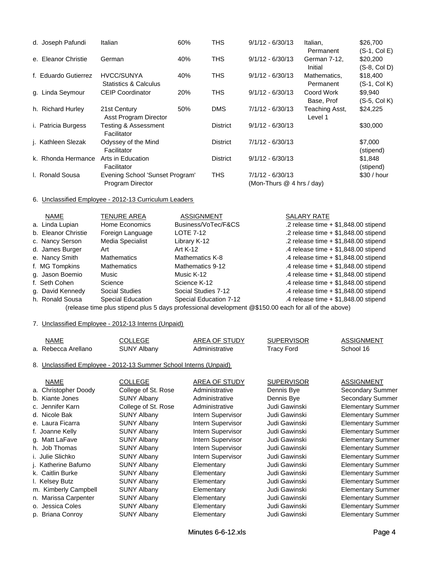| d. Joseph Pafundi    | Italian                                               | 60% | THS             | $9/1/12 - 6/30/13$                              | Italian,<br>Permanent     | \$26,700<br>$(S-1, Col E)$ |
|----------------------|-------------------------------------------------------|-----|-----------------|-------------------------------------------------|---------------------------|----------------------------|
| e. Eleanor Christie  | German                                                | 40% | <b>THS</b>      | $9/1/12 - 6/30/13$                              | German 7-12,<br>Initial   | \$20,200<br>$(S-8, Col D)$ |
| f. Eduardo Gutierrez | <b>HVCC/SUNYA</b><br><b>Statistics &amp; Calculus</b> | 40% | <b>THS</b>      | $9/1/12 - 6/30/13$                              | Mathematics,<br>Permanent | \$18,400<br>$(S-1, Col K)$ |
| g. Linda Seymour     | <b>CEIP Coordinator</b>                               | 20% | THS             | $9/1/12 - 6/30/13$                              | Coord Work<br>Base, Prof  | \$9,940<br>$(S-5, Col K)$  |
| h. Richard Hurley    | 21st Century<br>Asst Program Director                 | 50% | <b>DMS</b>      | 7/1/12 - 6/30/13                                | Teaching Asst,<br>Level 1 | \$24,225                   |
| i. Patricia Burgess  | Testing & Assessment<br>Facilitator                   |     | <b>District</b> | $9/1/12 - 6/30/13$                              |                           | \$30,000                   |
| j. Kathleen Slezak   | Odyssey of the Mind<br>Facilitator                    |     | <b>District</b> | 7/1/12 - 6/30/13                                |                           | \$7,000<br>(stipend)       |
| k. Rhonda Hermance   | Arts in Education<br>Facilitator                      |     | <b>District</b> | $9/1/12 - 6/30/13$                              |                           | \$1,848<br>(stipend)       |
| I. Ronald Sousa      | Evening School 'Sunset Program'<br>Program Director   |     | <b>THS</b>      | 7/1/12 - 6/30/13<br>(Mon-Thurs $@$ 4 hrs / day) |                           | \$30 / hour                |

#### 6. Unclassified Employee - 2012-13 Curriculum Leaders

| <b>NAME</b>         | TENURE AREA                                                                                           | <b>ASSIGNMENT</b>      | <b>SALARY RATE</b>                    |  |  |  |  |
|---------------------|-------------------------------------------------------------------------------------------------------|------------------------|---------------------------------------|--|--|--|--|
| a. Linda Lupian     | Home Economics                                                                                        | Business/VoTec/F&CS    | .2 release time $+ $1,848.00$ stipend |  |  |  |  |
| b. Eleanor Christie | Foreign Language                                                                                      | <b>LOTE 7-12</b>       | .2 release time $+ $1,848.00$ stipend |  |  |  |  |
| c. Nancy Serson     | Media Specialist                                                                                      | Library K-12           | .2 release time $+ $1,848.00$ stipend |  |  |  |  |
| d. James Burger     | Art                                                                                                   | Art K-12               | .4 release time $+ $1,848.00$ stipend |  |  |  |  |
| e. Nancy Smith      | <b>Mathematics</b>                                                                                    | Mathematics K-8        | .4 release time $+ $1,848.00$ stipend |  |  |  |  |
| f. MG Tompkins      | <b>Mathematics</b>                                                                                    | Mathematics 9-12       | .4 release time $+ $1,848.00$ stipend |  |  |  |  |
| g. Jason Boemio     | Music                                                                                                 | Music K-12             | .4 release time $+ $1,848.00$ stipend |  |  |  |  |
| f. Seth Cohen       | Science                                                                                               | Science K-12           | .4 release time $+ $1,848.00$ stipend |  |  |  |  |
| g. David Kennedy    | <b>Social Studies</b>                                                                                 | Social Studies 7-12    | .4 release time $+ $1,848.00$ stipend |  |  |  |  |
| h. Ronald Sousa     | <b>Special Education</b>                                                                              | Special Education 7-12 | .4 release time $+ $1,848.00$ stipend |  |  |  |  |
|                     | (release time plus stipend plus Eslave professional development @ C4EO, 00 spek for all of the above) |                        |                                       |  |  |  |  |

(release time plus stipend plus 5 days professional development @\$150.00 each for all of the above)

#### 7. Unclassified Employee - 2012-13 Interns (Unpaid)

| <b>NAME</b>          | <b>COLLEGE</b>                                                    | AREA OF STUDY     | <b>SUPERVISOR</b> | <b>ASSIGNMENT</b>        |
|----------------------|-------------------------------------------------------------------|-------------------|-------------------|--------------------------|
| a. Rebecca Arellano  | <b>SUNY Albany</b>                                                | Administrative    | <b>Tracy Ford</b> | School 16                |
|                      | 8. Unclassified Employee - 2012-13 Summer School Interns (Unpaid) |                   |                   |                          |
| <b>NAME</b>          | <b>COLLEGE</b>                                                    | AREA OF STUDY     | <b>SUPERVISOR</b> | <b>ASSIGNMENT</b>        |
| a. Christopher Doody | College of St. Rose                                               | Administrative    | Dennis Bye        | Secondary Summer         |
| b. Kiante Jones      | <b>SUNY Albany</b>                                                | Administrative    | Dennis Bye        | Secondary Summer         |
| c. Jennifer Karn     | College of St. Rose                                               | Administrative    | Judi Gawinski     | <b>Elementary Summer</b> |
| d. Nicole Bak        | <b>SUNY Albany</b>                                                | Intern Supervisor | Judi Gawinski     | <b>Elementary Summer</b> |
| e. Laura Ficarra     | <b>SUNY Albany</b>                                                | Intern Supervisor | Judi Gawinski     | <b>Elementary Summer</b> |
| f. Joanne Kelly      | <b>SUNY Albany</b>                                                | Intern Supervisor | Judi Gawinski     | <b>Elementary Summer</b> |
| g. Matt LaFave       | <b>SUNY Albany</b>                                                | Intern Supervisor | Judi Gawinski     | <b>Elementary Summer</b> |
| h. Job Thomas        | <b>SUNY Albany</b>                                                | Intern Supervisor | Judi Gawinski     | <b>Elementary Summer</b> |
| i. Julie Slichko     | <b>SUNY Albany</b>                                                | Intern Supervisor | Judi Gawinski     | <b>Elementary Summer</b> |
| j. Katherine Bafumo  | <b>SUNY Albany</b>                                                | Elementary        | Judi Gawinski     | <b>Elementary Summer</b> |
| k. Caitlin Burke     | <b>SUNY Albany</b>                                                | Elementary        | Judi Gawinski     | <b>Elementary Summer</b> |

l. Kelsey Butz SUNY Albany Elementary Judi Gawinski Elementary Summer m. Kimberly Campbell SUNY Albany Elementary Judi Gawinski Elementary Summer n. Marissa Carpenter SUNY Albany Elementary Judi Gawinski Elementary Summer o. Jessica Coles SUNY Albany Elementary Judi Gawinski Elementary Summer p. Briana Conroy SUNY Albany Elementary Judi Gawinski Elementary Summer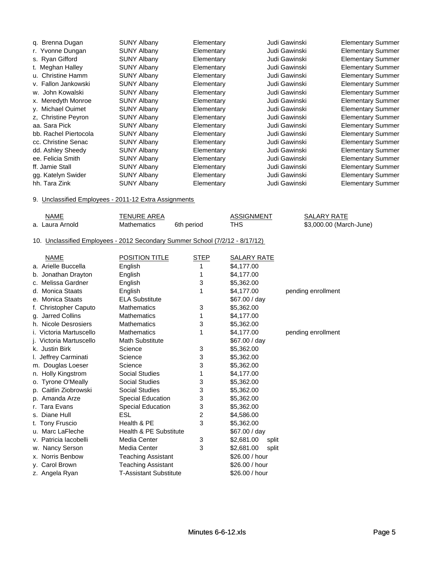| g. Brenna Dugan       | <b>SUNY Albany</b> | Elementary | Judi Gawinski |
|-----------------------|--------------------|------------|---------------|
| r. Yvonne Dungan      | <b>SUNY Albany</b> | Elementary | Judi Gawinski |
| s. Ryan Gifford       | <b>SUNY Albany</b> | Elementary | Judi Gawinski |
| t. Meghan Halley      | <b>SUNY Albany</b> | Elementary | Judi Gawinski |
| u. Christine Hamm     | <b>SUNY Albany</b> | Elementary | Judi Gawinski |
| v. Fallon Jankowski   | <b>SUNY Albany</b> | Elementary | Judi Gawinski |
| w. John Kowalski      | <b>SUNY Albany</b> | Elementary | Judi Gawinski |
| x. Meredyth Monroe    | <b>SUNY Albany</b> | Elementary | Judi Gawinski |
| y. Michael Ouimet     | <b>SUNY Albany</b> | Elementary | Judi Gawinski |
| z, Christine Peyron   | <b>SUNY Albany</b> | Elementary | Judi Gawinski |
| aa. Sara Pick         | <b>SUNY Albany</b> | Elementary | Judi Gawinski |
| bb. Rachel Piertocola | <b>SUNY Albany</b> | Elementary | Judi Gawinski |
| cc. Christine Senac   | <b>SUNY Albany</b> | Elementary | Judi Gawinski |
| dd. Ashley Sheedy     | <b>SUNY Albany</b> | Elementary | Judi Gawinski |
| ee. Felicia Smith     | <b>SUNY Albany</b> | Elementary | Judi Gawinski |
| ff. Jamie Stall       | <b>SUNY Albany</b> | Elementary | Judi Gawinski |
| gg. Katelyn Swider    | <b>SUNY Albany</b> | Elementary | Judi Gawinski |
| hh. Tara Zink         | <b>SUNY Albany</b> | Elementary | Judi Gawinski |

Elementary Summer Elementary Summer Elementary Summer **Elementary Summer** Elementary Summer **Elementary Summer** Elementary Summer Elementary Summer **Elementary Summer** Elementary Summer Elementary Summer **Elementary Summer** Elementary Summer Elementary Summer Elementary Summer **Elementary Summer** Elementary Summer Elementary Summer

#### 9. Unclassified Employees - 2011-12 Extra Assignments

| NAME            | TENURE AREA |            | ASSIGNMENT | <b>SALARY RATE</b>      |
|-----------------|-------------|------------|------------|-------------------------|
| a. Laura Arnold | Mathematics | 6th period | THS        | \$3,000.00 (March-June) |

#### 10. Unclassified Employees - 2012 Secondary Summer School (7/2/12 - 8/17/12)

| <b>NAME</b>             | <b>POSITION TITLE</b>         | <b>STEP</b> | SALARY RATE         |                    |
|-------------------------|-------------------------------|-------------|---------------------|--------------------|
| a. Arielle Buccella     | English                       |             | \$4,177.00          |                    |
| b. Jonathan Drayton     | English                       | 1           | \$4,177.00          |                    |
| c. Melissa Gardner      | English                       | 3           | \$5,362.00          |                    |
| d. Monica Staats        | English                       | 1           | \$4,177.00          | pending enrollment |
| e. Monica Staats        | <b>ELA Substitute</b>         |             | \$67.00 / day       |                    |
| f. Christopher Caputo   | Mathematics                   | 3           | \$5,362.00          |                    |
| g. Jarred Collins       | <b>Mathematics</b>            | 1           | \$4,177.00          |                    |
| h. Nicole Desrosiers    | <b>Mathematics</b>            | 3           | \$5,362.00          |                    |
| i. Victoria Martuscello | <b>Mathematics</b>            | 1           | \$4,177.00          | pending enrollment |
| i. Victoria Martuscello | <b>Math Substitute</b>        |             | \$67.00 / day       |                    |
| k. Justin Birk          | Science                       | 3           | \$5,362.00          |                    |
| I. Jeffrey Carminati    | Science                       | 3           | \$5,362.00          |                    |
| Douglas Loeser<br>m.    | Science                       | 3           | \$5,362.00          |                    |
| n. Holly Kingstrom      | <b>Social Studies</b>         | 1           | \$4,177.00          |                    |
| o. Tyrone O'Meally      | Social Studies                | 3           | \$5,362.00          |                    |
| p. Caitlin Ziobrowski   | <b>Social Studies</b>         | 3           | \$5,362.00          |                    |
| p. Amanda Arze          | Special Education             | 3           | \$5,362.00          |                    |
| r. Tara Evans           | Special Education             | 3           | \$5,362.00          |                    |
| s. Diane Hull           | <b>ESL</b>                    | 2           | \$4,586.00          |                    |
| t. Tony Fruscio         | Health & PE                   | 3           | \$5,362.00          |                    |
| u. Marc LaFleche        | Health & PE Substitute        |             | \$67.00 / day       |                    |
| v. Patricia lacobelli   | Media Center                  | 3           | \$2,681.00<br>split |                    |
| w. Nancy Serson         | Media Center                  | 3           | \$2,681.00<br>split |                    |
| x. Norris Benbow        | <b>Teaching Assistant</b>     |             | \$26.00 / hour      |                    |
| v. Carol Brown          | <b>Teaching Assistant</b>     |             | \$26.00 / hour      |                    |
| z. Angela Ryan          | <b>T-Assistant Substitute</b> |             | \$26.00 / hour      |                    |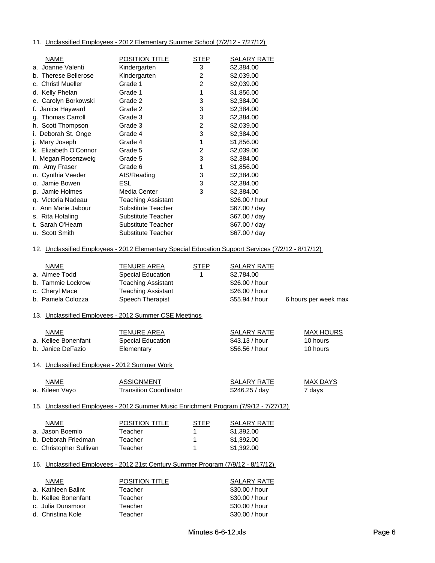#### 11. Unclassified Employees - 2012 Elementary Summer School (7/2/12 - 7/27/12)

| <b>NAME</b>                                                                                        | <b>POSITION TITLE</b>         | <b>STEP</b>    | <b>SALARY RATE</b> |                      |
|----------------------------------------------------------------------------------------------------|-------------------------------|----------------|--------------------|----------------------|
| a. Joanne Valenti                                                                                  | Kindergarten                  | 3              | \$2,384.00         |                      |
| b. Therese Bellerose                                                                               | Kindergarten                  | $\overline{c}$ | \$2,039.00         |                      |
| c. Christl Mueller                                                                                 | Grade 1                       | $\overline{c}$ | \$2,039.00         |                      |
| d. Kelly Phelan                                                                                    | Grade 1                       | 1              | \$1,856.00         |                      |
| e. Carolyn Borkowski                                                                               | Grade 2                       | 3              | \$2,384.00         |                      |
| f. Janice Hayward                                                                                  | Grade 2                       | 3              | \$2,384.00         |                      |
| g. Thomas Carroll                                                                                  | Grade 3                       | 3              | \$2,384.00         |                      |
| h. Scott Thompson                                                                                  | Grade 3                       | $\overline{c}$ | \$2,039.00         |                      |
| i. Deborah St. Onge                                                                                | Grade 4                       | 3              | \$2,384.00         |                      |
| j. Mary Joseph                                                                                     | Grade 4                       | 1              | \$1,856.00         |                      |
| k. Elizabeth O'Connor                                                                              | Grade 5                       | $\overline{c}$ | \$2,039.00         |                      |
| I. Megan Rosenzweig                                                                                | Grade 5                       | 3              | \$2,384.00         |                      |
| m. Amy Fraser                                                                                      | Grade 6                       | 1              | \$1,856.00         |                      |
| n. Cynthia Veeder                                                                                  | AIS/Reading                   | 3              | \$2,384.00         |                      |
| o. Jamie Bowen                                                                                     | <b>ESL</b>                    | 3              | \$2,384.00         |                      |
| p. Jamie Holmes                                                                                    | Media Center                  | 3              | \$2,384.00         |                      |
| q. Victoria Nadeau                                                                                 | <b>Teaching Assistant</b>     |                | \$26.00 / hour     |                      |
| r. Ann Marie Jabour                                                                                | Substitute Teacher            |                | \$67.00 / day      |                      |
| s. Rita Hotaling                                                                                   | Substitute Teacher            |                | \$67.00 / day      |                      |
| t. Sarah O'Hearn                                                                                   | Substitute Teacher            |                | \$67.00 / day      |                      |
| u. Scott Smith                                                                                     | Substitute Teacher            |                | \$67.00 / day      |                      |
| 12. Unclassified Employees - 2012 Elementary Special Education Support Services (7/2/12 - 8/17/12) |                               |                |                    |                      |
| <b>NAME</b>                                                                                        | <u>TENURE AREA</u>            | <b>STEP</b>    | <b>SALARY RATE</b> |                      |
| a. Aimee Todd                                                                                      | Special Education             | 1              | \$2,784.00         |                      |
| b. Tammie Lockrow                                                                                  | <b>Teaching Assistant</b>     |                | \$26.00 / hour     |                      |
| c. Cheryl Mace                                                                                     | <b>Teaching Assistant</b>     |                | \$26.00 / hour     |                      |
| b. Pamela Colozza                                                                                  | Speech Therapist              |                | \$55.94 / hour     | 6 hours per week max |
| 13. Unclassified Employees - 2012 Summer CSE Meetings                                              |                               |                |                    |                      |
| <b>NAME</b>                                                                                        | <b>TENURE AREA</b>            |                | SALARY RATE        | <b>MAX HOURS</b>     |
| a. Kellee Bonenfant                                                                                | Special Education             |                | \$43.13 / hour     | 10 hours             |
| b. Janice DeFazio                                                                                  | Elementary                    |                | \$56.56 / hour     | 10 hours             |
|                                                                                                    |                               |                |                    |                      |
| 14. Unclassified Employee - 2012 Summer Work                                                       |                               |                |                    |                      |
| <b>NAME</b>                                                                                        | <b>ASSIGNMENT</b>             |                | <b>SALARY RATE</b> | <b>MAX DAYS</b>      |
| a. Kileen Vayo                                                                                     | <b>Transition Coordinator</b> |                | \$246.25 / day     | 7 days               |
| 15. Unclassified Employees - 2012 Summer Music Enrichment Program (7/9/12 - 7/27/12)               |                               |                |                    |                      |
|                                                                                                    |                               |                |                    |                      |
| <b>NAME</b>                                                                                        | POSITION TITLE                | <b>STEP</b>    | <u>SALARY RATE</u> |                      |
| a. Jason Boemio                                                                                    | Teacher<br>Teacher            | 1              | \$1,392.00         |                      |
| b. Deborah Friedman                                                                                | Teacher                       | 1              | \$1,392.00         |                      |
| c. Christopher Sullivan                                                                            |                               | 1              | \$1,392.00         |                      |
| 16. Unclassified Employees - 2012 21st Century Summer Program (7/9/12 - 8/17/12)                   |                               |                |                    |                      |
| <b>NAME</b>                                                                                        | <b>POSITION TITLE</b>         |                | SALARY RATE        |                      |
| a. Kathleen Balint                                                                                 | Teacher                       |                | \$30.00 / hour     |                      |
| b. Kellee Bonenfant                                                                                | Teacher                       |                | \$30.00 / hour     |                      |
| c. Julia Dunsmoor                                                                                  | Teacher                       |                | \$30.00 / hour     |                      |

d. Christina Kole **Teacher Teacher** \$30.00 / hour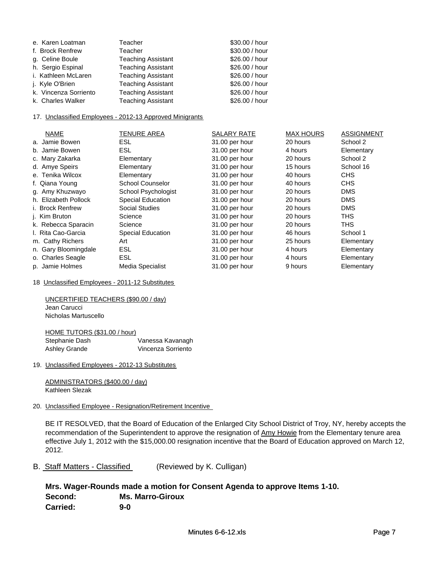| e. Karen Loatman      | Teacher                   | \$30.00 / hour |
|-----------------------|---------------------------|----------------|
| f. Brock Renfrew      | Teacher                   | \$30.00 / hour |
| g. Celine Boule       | <b>Teaching Assistant</b> | \$26.00 / hour |
| h. Sergio Espinal     | <b>Teaching Assistant</b> | \$26.00 / hour |
| i. Kathleen McLaren   | <b>Teaching Assistant</b> | \$26.00 / hour |
| j. Kyle O'Brien       | <b>Teaching Assistant</b> | \$26.00 / hour |
| k. Vincenza Sorriento | <b>Teaching Assistant</b> | \$26.00 / hour |
| k. Charles Walker     | <b>Teaching Assistant</b> | \$26.00 / hour |

#### 17. Unclassified Employees - 2012-13 Approved Minigrants

| <b>NAME</b>          | <b>TENURE AREA</b>       | <b>SALARY RATE</b> | <b>MAX HOURS</b> | <b>ASSIGNMENT</b> |
|----------------------|--------------------------|--------------------|------------------|-------------------|
| a. Jamie Bowen       | <b>ESL</b>               | 31.00 per hour     | 20 hours         | School 2          |
| b. Jamie Bowen       | <b>ESL</b>               | 31.00 per hour     | 4 hours          | Elementary        |
| c. Mary Zakarka      | Elementary               | 31.00 per hour     | 20 hours         | School 2          |
| d. Amye Speirs       | Elementary               | 31.00 per hour     | 15 hours         | School 16         |
| e. Tenika Wilcox     | Elementary               | 31.00 per hour     | 40 hours         | CH <sub>S</sub>   |
| f. Qiana Young       | <b>School Counselor</b>  | 31.00 per hour     | 40 hours         | CH <sub>S</sub>   |
| g. Amy Khuzwayo      | School Psychologist      | 31.00 per hour     | 20 hours         | <b>DMS</b>        |
| h. Elizabeth Pollock | <b>Special Education</b> | 31.00 per hour     | 20 hours         | <b>DMS</b>        |
| i. Brock Renfrew     | <b>Social Studies</b>    | 31.00 per hour     | 20 hours         | <b>DMS</b>        |
| j. Kim Bruton        | Science                  | 31.00 per hour     | 20 hours         | <b>THS</b>        |
| k. Rebecca Sparacin  | Science                  | 31.00 per hour     | 20 hours         | <b>THS</b>        |
| I. Rita Cao-Garcia   | <b>Special Education</b> | 31.00 per hour     | 46 hours         | School 1          |
| m. Cathy Richers     | Art                      | 31.00 per hour     | 25 hours         | Elementary        |
| n. Gary Bloomingdale | ESL                      | 31.00 per hour     | 4 hours          | Elementary        |
| o. Charles Seagle    | <b>ESL</b>               | 31.00 per hour     | 4 hours          | Elementary        |
| p. Jamie Holmes      | Media Specialist         | 31.00 per hour     | 9 hours          | Elementary        |

18 Unclassified Employees - 2011-12 Substitutes

UNCERTIFIED TEACHERS (\$90.00 / day) Jean Carucci Nicholas Martuscello

| HOME TUTORS (\$31.00 / hour) |                    |
|------------------------------|--------------------|
| Stephanie Dash               | Vanessa Kavanagh   |
| Ashley Grande                | Vincenza Sorriento |

#### 19. Unclassified Employees - 2012-13 Substitutes

ADMINISTRATORS (\$400.00 / day) Kathleen Slezak

20. Unclassified Employee - Resignation/Retirement Incentive

BE IT RESOLVED, that the Board of Education of the Enlarged City School District of Troy, NY, hereby accepts the recommendation of the Superintendent to approve the resignation of Amy Howie from the Elementary tenure area effective July 1, 2012 with the \$15,000.00 resignation incentive that the Board of Education approved on March 12, 2012.

B. Staff Matters - Classified (Reviewed by K. Culligan)

**Mrs. Wager-Rounds made a motion for Consent Agenda to approve Items 1-10. Second: Ms. Marro-Giroux Carried: 9-0**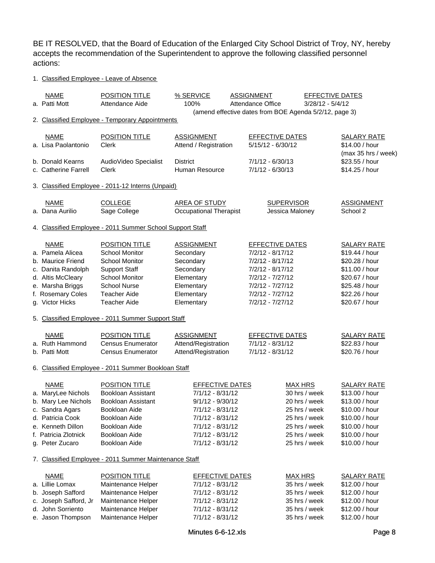BE IT RESOLVED, that the Board of Education of the Enlarged City School District of Troy, NY, hereby accepts the recommendation of the Superintendent to approve the following classified personnel actions:

1. Classified Employee - Leave of Absence

| <b>NAME</b><br>a. Patti Mott                                                                                                                                    | POSITION TITLE<br>Attendance Aide                                                                                                                                               | % SERVICE<br>100%                                                                                                                                                      | <b>ASSIGNMENT</b><br>Attendance Office                                                                                                         | $3/28/12 - 5/4/12$<br>(amend effective dates from BOE Agenda 5/2/12, page 3)                                                          | EFFECTIVE DATES                                                                                                                                  |
|-----------------------------------------------------------------------------------------------------------------------------------------------------------------|---------------------------------------------------------------------------------------------------------------------------------------------------------------------------------|------------------------------------------------------------------------------------------------------------------------------------------------------------------------|------------------------------------------------------------------------------------------------------------------------------------------------|---------------------------------------------------------------------------------------------------------------------------------------|--------------------------------------------------------------------------------------------------------------------------------------------------|
|                                                                                                                                                                 | 2. Classified Employee - Temporary Appointments                                                                                                                                 |                                                                                                                                                                        |                                                                                                                                                |                                                                                                                                       |                                                                                                                                                  |
| <b>NAME</b><br>a. Lisa Paolantonio                                                                                                                              | <b>POSITION TITLE</b><br><b>Clerk</b>                                                                                                                                           | <b>ASSIGNMENT</b><br>Attend / Registration                                                                                                                             | 5/15/12 - 6/30/12                                                                                                                              | <b>EFFECTIVE DATES</b>                                                                                                                | <b>SALARY RATE</b><br>\$14.00 / hour<br>(max 35 hrs / week)                                                                                      |
| b. Donald Kearns<br>c. Catherine Farrell                                                                                                                        | AudioVideo Specialist<br><b>Clerk</b>                                                                                                                                           | <b>District</b><br>Human Resource                                                                                                                                      | $7/1/12 - 6/30/13$<br>$7/1/12 - 6/30/13$                                                                                                       |                                                                                                                                       | \$23.55 / hour<br>\$14.25 / hour                                                                                                                 |
|                                                                                                                                                                 | 3. Classified Employee - 2011-12 Interns (Unpaid)                                                                                                                               |                                                                                                                                                                        |                                                                                                                                                |                                                                                                                                       |                                                                                                                                                  |
| <b>NAME</b><br>a. Dana Aurilio                                                                                                                                  | <b>COLLEGE</b><br>Sage College                                                                                                                                                  | <b>AREA OF STUDY</b><br><b>Occupational Therapist</b>                                                                                                                  |                                                                                                                                                | <b>SUPERVISOR</b><br>Jessica Maloney                                                                                                  | <b>ASSIGNMENT</b><br>School 2                                                                                                                    |
|                                                                                                                                                                 | 4. Classified Employee - 2011 Summer School Support Staff                                                                                                                       |                                                                                                                                                                        |                                                                                                                                                |                                                                                                                                       |                                                                                                                                                  |
| <b>NAME</b><br>a. Pamela Alicea<br>b. Maurice Friend<br>c. Danita Randolph<br>d. Altis McCleary<br>e. Marsha Briggs<br>f. Rosemary Coles<br>g. Victor Hicks     | <b>POSITION TITLE</b><br><b>School Monitor</b><br>School Monitor<br><b>Support Staff</b><br>School Monitor<br><b>School Nurse</b><br><b>Teacher Aide</b><br><b>Teacher Aide</b> | <b>ASSIGNMENT</b><br>Secondary<br>Secondary<br>Secondary<br>Elementary<br>Elementary<br>Elementary<br>Elementary                                                       | $7/2/12 - 8/17/12$<br>$7/2/12 - 8/17/12$<br>$7/2/12 - 8/17/12$<br>7/2/12 - 7/27/12<br>7/2/12 - 7/27/12<br>7/2/12 - 7/27/12<br>7/2/12 - 7/27/12 | <b>EFFECTIVE DATES</b>                                                                                                                | <b>SALARY RATE</b><br>\$19.44 / hour<br>\$20.28 / hour<br>\$11.00 / hour<br>\$20.67 / hour<br>\$25.48 / hour<br>\$22.26 / hour<br>\$20.67 / hour |
| 5. Classified Employee - 2011 Summer Support Staff                                                                                                              |                                                                                                                                                                                 |                                                                                                                                                                        |                                                                                                                                                |                                                                                                                                       |                                                                                                                                                  |
| <b>NAME</b><br>a. Ruth Hammond<br>b. Patti Mott                                                                                                                 | <b>POSITION TITLE</b><br><b>Census Enumerator</b><br><b>Census Enumerator</b>                                                                                                   | <b>ASSIGNMENT</b><br>Attend/Registration<br>Attend/Registration                                                                                                        | 7/1/12 - 8/31/12<br>7/1/12 - 8/31/12                                                                                                           | <b>EFFECTIVE DATES</b>                                                                                                                | <b>SALARY RATE</b><br>\$22.83 / hour<br>\$20.76 / hour                                                                                           |
|                                                                                                                                                                 | 6. Classified Employee - 2011 Summer Bookloan Staff                                                                                                                             |                                                                                                                                                                        |                                                                                                                                                |                                                                                                                                       |                                                                                                                                                  |
| <b>NAME</b><br>a. MaryLee Nichols<br>b. Mary Lee Nichols<br>c. Sandra Agars<br>d. Patricia Cook<br>e. Kenneth Dillon<br>f. Patricia Zlotnick<br>g. Peter Zucaro | <b>POSITION TITLE</b><br><b>Bookloan Assistant</b><br><b>Bookloan Assistant</b><br>Bookloan Aide<br>Bookloan Aide<br>Bookloan Aide<br>Bookloan Aide<br>Bookloan Aide            | <b>EFFECTIVE DATES</b><br>7/1/12 - 8/31/12<br>$9/1/12 - 9/30/12$<br>$7/1/12 - 8/31/12$<br>7/1/12 - 8/31/12<br>7/1/12 - 8/31/12<br>7/1/12 - 8/31/12<br>7/1/12 - 8/31/12 |                                                                                                                                                | <b>MAX HRS</b><br>30 hrs / week<br>20 hrs / week<br>25 hrs / week<br>25 hrs / week<br>25 hrs / week<br>25 hrs / week<br>25 hrs / week | <b>SALARY RATE</b><br>\$13.00 / hour<br>\$13.00 / hour<br>\$10.00 / hour<br>\$10.00 / hour<br>\$10.00 / hour<br>\$10.00 / hour<br>\$10.00 / hour |
|                                                                                                                                                                 | 7. Classified Employee - 2011 Summer Maintenance Staff                                                                                                                          |                                                                                                                                                                        |                                                                                                                                                |                                                                                                                                       |                                                                                                                                                  |
| <b>NAME</b><br>a. Lillie Lomax<br>b. Joseph Safford<br>c. Joseph Safford, Jr<br>d. John Sorriento<br>e. Jason Thompson                                          | <b>POSITION TITLE</b><br>Maintenance Helper<br>Maintenance Helper<br>Maintenance Helper<br>Maintenance Helper<br>Maintenance Helper                                             | <b>EFFECTIVE DATES</b><br>7/1/12 - 8/31/12<br>7/1/12 - 8/31/12<br>7/1/12 - 8/31/12<br>7/1/12 - 8/31/12<br>7/1/12 - 8/31/12                                             |                                                                                                                                                | <b>MAX HRS</b><br>35 hrs / week<br>35 hrs / week<br>35 hrs / week<br>35 hrs / week<br>35 hrs / week                                   | <b>SALARY RATE</b><br>\$12.00 / hour<br>\$12.00 / hour<br>\$12.00 / hour<br>\$12.00 / hour<br>\$12.00 / hour                                     |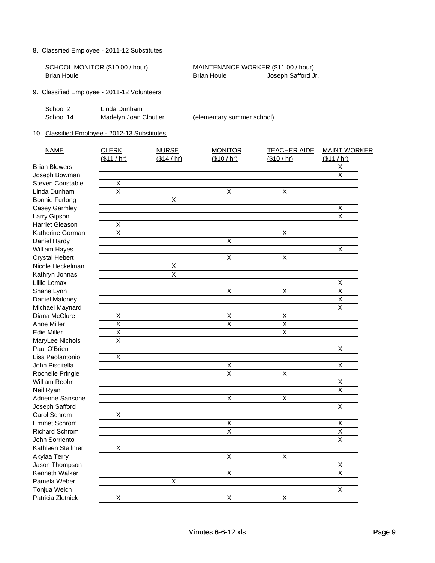### 8. Classified Employee - 2011-12 Substitutes

Tonjua Welch Patricia Zlotnick

| SCHOOL MONITOR (\$10.00 / hour)<br><b>Brian Houle</b> |                         |                         | MAINTENANCE WORKER (\$11.00 / hour)<br><b>Brian Houle</b> | Joseph Safford Jr.      |                         |
|-------------------------------------------------------|-------------------------|-------------------------|-----------------------------------------------------------|-------------------------|-------------------------|
| 9. Classified Employee - 2011-12 Volunteers           |                         |                         |                                                           |                         |                         |
| School 2                                              | Linda Dunham            |                         |                                                           |                         |                         |
| School 14                                             | Madelyn Joan Cloutier   |                         | (elementary summer school)                                |                         |                         |
| 10. Classified Employee - 2012-13 Substitutes         |                         |                         |                                                           |                         |                         |
| <b>NAME</b>                                           | <b>CLERK</b>            | <b>NURSE</b>            | <b>MONITOR</b>                                            | <b>TEACHER AIDE</b>     | <b>MAINT WORKER</b>     |
|                                                       | (\$11 / hr)             | (\$14 / hr)             | (\$10 / hr)                                               | (\$10 / hr)             | (\$11 / hr)             |
| <b>Brian Blowers</b>                                  |                         |                         |                                                           |                         | х                       |
| Joseph Bowman                                         |                         |                         |                                                           |                         | $\overline{\mathsf{x}}$ |
| <b>Steven Constable</b>                               | X                       |                         |                                                           |                         |                         |
| Linda Dunham                                          | $\overline{\mathsf{x}}$ |                         | $\overline{X}$                                            | X                       |                         |
| <b>Bonnie Furlong</b>                                 |                         | $\overline{\mathsf{x}}$ |                                                           |                         |                         |
| Casey Garmley                                         |                         |                         |                                                           |                         | Χ                       |
| Larry Gipson                                          |                         |                         |                                                           |                         | X                       |
| <b>Harriet Gleason</b>                                | Χ                       |                         |                                                           |                         |                         |
| Katherine Gorman                                      | $\overline{\mathsf{x}}$ |                         |                                                           | Χ                       |                         |
| Daniel Hardy                                          |                         |                         | X                                                         |                         |                         |
| William Hayes                                         |                         |                         |                                                           |                         | X                       |
| <b>Crystal Hebert</b>                                 |                         |                         | X                                                         | X                       |                         |
| Nicole Heckelman                                      |                         | X                       |                                                           |                         |                         |
| Kathryn Johnas                                        |                         | $\overline{\mathsf{x}}$ |                                                           |                         |                         |
| Lillie Lomax                                          |                         |                         |                                                           |                         | Χ                       |
| Shane Lynn                                            |                         |                         | X                                                         | X                       | $\overline{\mathsf{x}}$ |
| Daniel Maloney                                        |                         |                         |                                                           |                         | $\overline{\mathsf{x}}$ |
| Michael Maynard                                       |                         |                         |                                                           |                         | X                       |
| Diana McClure                                         | X                       |                         | X                                                         | X                       |                         |
| Anne Miller                                           | $\overline{X}$          |                         | X                                                         | $\overline{\mathsf{x}}$ |                         |
| <b>Edie Miller</b>                                    | $\overline{\mathsf{x}}$ |                         |                                                           | $\overline{\mathsf{x}}$ |                         |
| MaryLee Nichols                                       | $\overline{\mathsf{x}}$ |                         |                                                           |                         |                         |
| Paul O'Brien                                          |                         |                         |                                                           |                         | Χ                       |
| Lisa Paolantonio                                      | Χ                       |                         |                                                           |                         |                         |
| John Piscitella                                       |                         |                         | Χ                                                         |                         | X                       |
| <b>Rochelle Pringle</b>                               |                         |                         | Χ                                                         | Χ                       |                         |
| William Reohr                                         |                         |                         |                                                           |                         | X                       |
| Neil Ryan                                             |                         |                         |                                                           |                         | X                       |
| Adrienne Sansone                                      |                         |                         | X                                                         | X                       |                         |
| Joseph Safford                                        |                         |                         |                                                           |                         | $\overline{X}$          |
| Carol Schrom                                          | $\overline{\mathsf{x}}$ |                         |                                                           |                         |                         |
| <b>Emmet Schrom</b>                                   |                         |                         | $\overline{\mathsf{x}}$                                   |                         | $\overline{\mathsf{x}}$ |
| <b>Richard Schrom</b>                                 |                         |                         | X                                                         |                         | $\overline{\mathsf{x}}$ |
| John Sorriento                                        |                         |                         |                                                           |                         | X                       |
| Kathleen Stallmer                                     | X                       |                         |                                                           |                         |                         |
| Akyiaa Terry                                          |                         |                         | X                                                         | X                       |                         |
| Jason Thompson                                        |                         |                         |                                                           |                         | X                       |
| Kenneth Walker                                        |                         |                         | $\overline{\mathsf{X}}$                                   |                         | $\overline{\mathsf{x}}$ |
| Pamela Weber                                          |                         | $\overline{\mathsf{x}}$ |                                                           |                         |                         |

 $X$  x x  $X$ 

X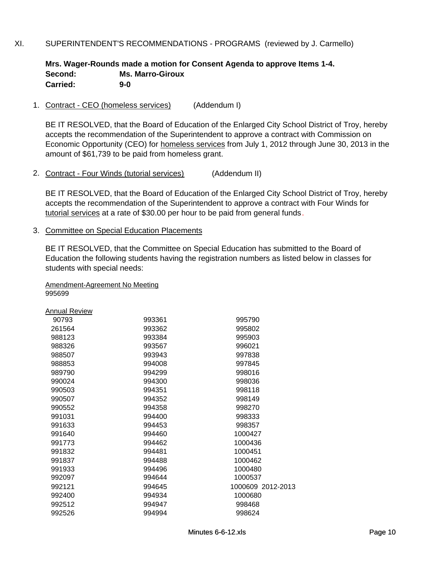### XI. SUPERINTENDENT'S RECOMMENDATIONS - PROGRAMS (reviewed by J. Carmello)

#### **Mrs. Wager-Rounds made a motion for Consent Agenda to approve Items 1-4. Second: Ms. Marro-Giroux Carried: 9-0**

1. Contract - CEO (homeless services) (Addendum I)

BE IT RESOLVED, that the Board of Education of the Enlarged City School District of Troy, hereby accepts the recommendation of the Superintendent to approve a contract with Commission on Economic Opportunity (CEO) for homeless services from July 1, 2012 through June 30, 2013 in the amount of \$61,739 to be paid from homeless grant.

2. Contract - Four Winds (tutorial services) (Addendum II)

BE IT RESOLVED, that the Board of Education of the Enlarged City School District of Troy, hereby accepts the recommendation of the Superintendent to approve a contract with Four Winds for tutorial services at a rate of \$30.00 per hour to be paid from general funds.

3. Committee on Special Education Placements

BE IT RESOLVED, that the Committee on Special Education has submitted to the Board of Education the following students having the registration numbers as listed below in classes for students with special needs:

#### Amendment-Agreement No Meeting 995699

| Annual Review |        |                   |
|---------------|--------|-------------------|
| 90793         | 993361 | 995790            |
| 261564        | 993362 | 995802            |
| 988123        | 993384 | 995903            |
| 988326        | 993567 | 996021            |
| 988507        | 993943 | 997838            |
| 988853        | 994008 | 997845            |
| 989790        | 994299 | 998016            |
| 990024        | 994300 | 998036            |
| 990503        | 994351 | 998118            |
| 990507        | 994352 | 998149            |
| 990552        | 994358 | 998270            |
| 991031        | 994400 | 998333            |
| 991633        | 994453 | 998357            |
| 991640        | 994460 | 1000427           |
| 991773        | 994462 | 1000436           |
| 991832        | 994481 | 1000451           |
| 991837        | 994488 | 1000462           |
| 991933        | 994496 | 1000480           |
| 992097        | 994644 | 1000537           |
| 992121        | 994645 | 1000609 2012-2013 |
| 992400        | 994934 | 1000680           |
| 992512        | 994947 | 998468            |
| 992526        | 994994 | 998624            |
|               |        |                   |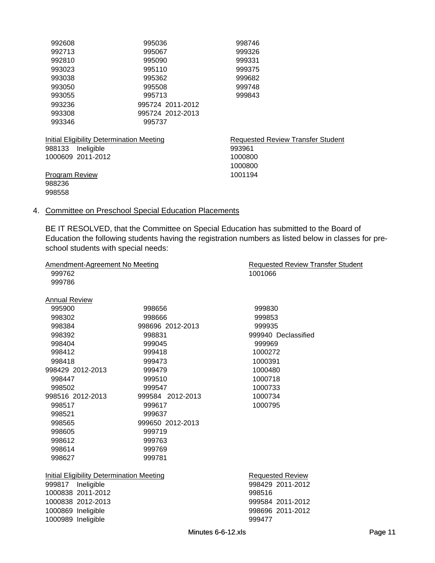| 992608                                    | 995036           | 998746                                   |
|-------------------------------------------|------------------|------------------------------------------|
| 992713                                    | 995067           | 999326                                   |
| 992810                                    | 995090           | 999331                                   |
| 993023                                    | 995110           | 999375                                   |
| 993038                                    | 995362           | 999682                                   |
| 993050                                    | 995508           | 999748                                   |
| 993055                                    | 995713           | 999843                                   |
| 993236                                    | 995724 2011-2012 |                                          |
| 993308                                    | 995724 2012-2013 |                                          |
| 993346                                    | 995737           |                                          |
| Initial Eligibility Determination Meeting |                  | <b>Requested Review Transfer Student</b> |
| 988133<br>Ineligible                      |                  | 993961                                   |
| 1000609 2011-2012                         |                  | 1000800                                  |
|                                           |                  | 1000800                                  |
| <b>Program Review</b>                     |                  | 1001194                                  |
| 988236                                    |                  |                                          |
| 998558                                    |                  |                                          |

# 4. Committee on Preschool Special Education Placements

BE IT RESOLVED, that the Committee on Special Education has submitted to the Board of Education the following students having the registration numbers as listed below in classes for preschool students with special needs:

| Amendment-Agreement No Meeting                   |                  | <b>Requested Review Transfer Student</b> |
|--------------------------------------------------|------------------|------------------------------------------|
| 999762                                           |                  | 1001066                                  |
| 999786                                           |                  |                                          |
| <b>Annual Review</b>                             |                  |                                          |
| 995900                                           | 998656           | 999830                                   |
| 998302                                           | 998666           | 999853                                   |
| 998384                                           | 998696 2012-2013 | 999935                                   |
| 998392                                           | 998831           | 999940 Declassified                      |
| 998404                                           | 999045           | 999969                                   |
| 998412                                           | 999418           | 1000272                                  |
| 998418                                           | 999473           | 1000391                                  |
| 998429 2012-2013                                 | 999479           | 1000480                                  |
| 998447                                           | 999510           | 1000718                                  |
| 998502                                           | 999547           | 1000733                                  |
| 998516 2012-2013                                 | 999584 2012-2013 | 1000734                                  |
| 998517                                           | 999617           | 1000795                                  |
| 998521                                           | 999637           |                                          |
| 998565                                           | 999650 2012-2013 |                                          |
| 998605                                           | 999719           |                                          |
| 998612                                           | 999763           |                                          |
| 998614                                           | 999769           |                                          |
| 998627                                           | 999781           |                                          |
| <b>Initial Eligibility Determination Meeting</b> |                  | <b>Requested Review</b>                  |
| 999817<br>Ineligible                             |                  | 998429 2011-2012                         |
| 1000838 2011-2012                                |                  | 998516                                   |
| 1000838 2012-2013                                |                  | 999584 2011-2012                         |
| 1000869 Ineligible                               |                  | 998696 2011-2012                         |
| 1000989 Ineligible                               |                  | 999477                                   |
|                                                  |                  |                                          |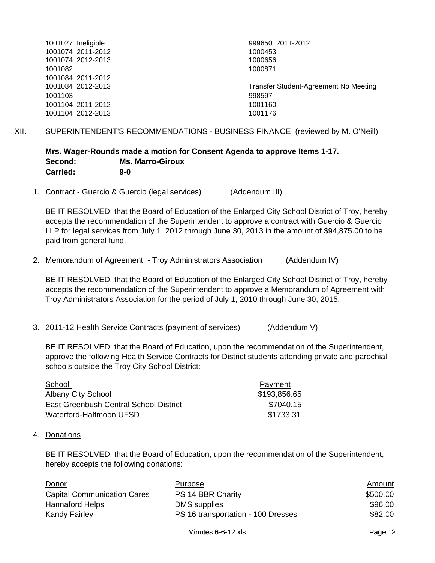| 1001027 Ineligible | 999650 2011-2012                      |
|--------------------|---------------------------------------|
| 1001074 2011-2012  | 1000453                               |
| 1001074 2012-2013  | 1000656                               |
| 1001082            | 1000871                               |
| 1001084 2011-2012  |                                       |
| 1001084 2012-2013  | Transfer Student-Agreement No Meeting |
| 1001103            | 998597                                |
| 1001104 2011-2012  | 1001160                               |
| 1001104 2012-2013  | 1001176                               |
|                    |                                       |

XII. SUPERINTENDENT'S RECOMMENDATIONS - BUSINESS FINANCE (reviewed by M. O'Neill)

#### **Mrs. Wager-Rounds made a motion for Consent Agenda to approve Items 1-17. Second: Ms. Marro-Giroux Carried: 9-0**

1. Contract - Guercio & Guercio (legal services) (Addendum III)

BE IT RESOLVED, that the Board of Education of the Enlarged City School District of Troy, hereby accepts the recommendation of the Superintendent to approve a contract with Guercio & Guercio LLP for legal services from July 1, 2012 through June 30, 2013 in the amount of \$94,875.00 to be paid from general fund.

2. Memorandum of Agreement - Troy Administrators Association (Addendum IV)

BE IT RESOLVED, that the Board of Education of the Enlarged City School District of Troy, hereby accepts the recommendation of the Superintendent to approve a Memorandum of Agreement with Troy Administrators Association for the period of July 1, 2010 through June 30, 2015.

3. 2011-12 Health Service Contracts (payment of services) (Addendum V)

BE IT RESOLVED, that the Board of Education, upon the recommendation of the Superintendent, approve the following Health Service Contracts for District students attending private and parochial schools outside the Troy City School District:

| School                                 | Payment      |
|----------------------------------------|--------------|
| <b>Albany City School</b>              | \$193,856.65 |
| East Greenbush Central School District | \$7040.15    |
| Waterford-Halfmoon UFSD                | \$1733.31    |

#### 4. Donations

BE IT RESOLVED, that the Board of Education, upon the recommendation of the Superintendent, hereby accepts the following donations:

| Donor                              | Purpose                            | Amount   |
|------------------------------------|------------------------------------|----------|
| <b>Capital Communication Cares</b> | PS 14 BBR Charity                  | \$500.00 |
| <b>Hannaford Helps</b>             | DMS supplies                       | \$96.00  |
| Kandy Fairley                      | PS 16 transportation - 100 Dresses | \$82.00  |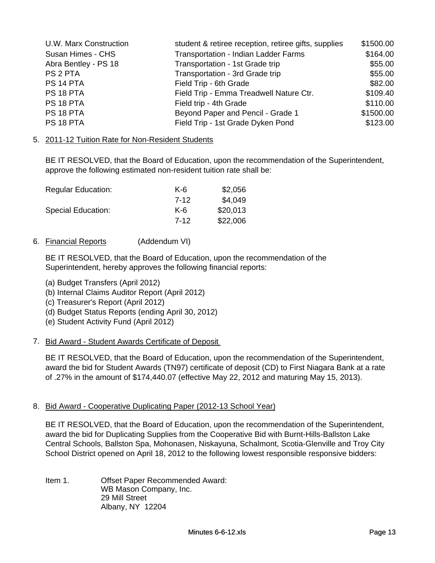| U.W. Marx Construction | student & retiree reception, retiree gifts, supplies | \$1500.00 |
|------------------------|------------------------------------------------------|-----------|
| Susan Himes - CHS      | Transportation - Indian Ladder Farms                 | \$164.00  |
| Abra Bentley - PS 18   | Transportation - 1st Grade trip                      | \$55.00   |
| PS 2 PTA               | Transportation - 3rd Grade trip                      | \$55.00   |
| PS 14 PTA              | Field Trip - 6th Grade                               | \$82.00   |
| PS 18 PTA              | Field Trip - Emma Treadwell Nature Ctr.              | \$109.40  |
| PS 18 PTA              | Field trip - 4th Grade                               | \$110.00  |
| PS 18 PTA              | Beyond Paper and Pencil - Grade 1                    | \$1500.00 |
| PS 18 PTA              | Field Trip - 1st Grade Dyken Pond                    | \$123.00  |

5. 2011-12 Tuition Rate for Non-Resident Students

BE IT RESOLVED, that the Board of Education, upon the recommendation of the Superintendent, approve the following estimated non-resident tuition rate shall be:

| <b>Regular Education:</b> | K-6   | \$2,056  |
|---------------------------|-------|----------|
|                           | 7-12  | \$4,049  |
| <b>Special Education:</b> | $K-6$ | \$20,013 |
|                           | 7-12  | \$22,006 |

6. Financial Reports (Addendum VI)

BE IT RESOLVED, that the Board of Education, upon the recommendation of the Superintendent, hereby approves the following financial reports:

- (a) Budget Transfers (April 2012)
- (b) Internal Claims Auditor Report (April 2012)
- (c) Treasurer's Report (April 2012)
- (d) Budget Status Reports (ending April 30, 2012)
- (e) Student Activity Fund (April 2012)
- 7. Bid Award Student Awards Certificate of Deposit

BE IT RESOLVED, that the Board of Education, upon the recommendation of the Superintendent, award the bid for Student Awards (TN97) certificate of deposit (CD) to First Niagara Bank at a rate of .27% in the amount of \$174,440.07 (effective May 22, 2012 and maturing May 15, 2013).

## 8. Bid Award - Cooperative Duplicating Paper (2012-13 School Year)

BE IT RESOLVED, that the Board of Education, upon the recommendation of the Superintendent, award the bid for Duplicating Supplies from the Cooperative Bid with Burnt-Hills-Ballston Lake Central Schools, Ballston Spa, Mohonasen, Niskayuna, Schalmont, Scotia-Glenville and Troy City School District opened on April 18, 2012 to the following lowest responsible responsive bidders:

Item 1. Offset Paper Recommended Award: WB Mason Company, Inc. 29 Mill Street Albany, NY 12204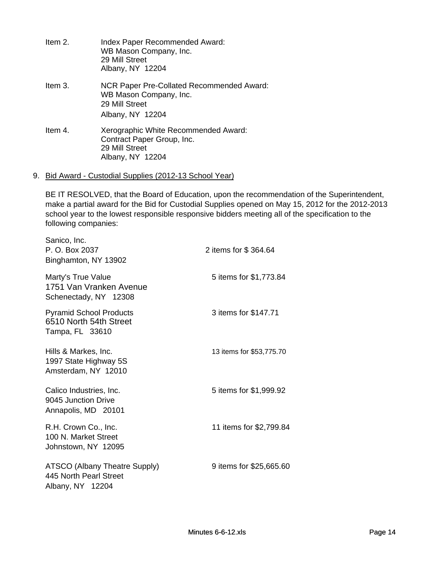- Item 2. Index Paper Recommended Award: WB Mason Company, Inc. 29 Mill Street Albany, NY 12204
- Item 3. NCR Paper Pre-Collated Recommended Award: WB Mason Company, Inc. 29 Mill Street Albany, NY 12204
- Item 4. Xerographic White Recommended Award: Contract Paper Group, Inc. 29 Mill Street Albany, NY 12204
- 9. Bid Award Custodial Supplies (2012-13 School Year)

BE IT RESOLVED, that the Board of Education, upon the recommendation of the Superintendent, make a partial award for the Bid for Custodial Supplies opened on May 15, 2012 for the 2012-2013 school year to the lowest responsible responsive bidders meeting all of the specification to the following companies:

| Sanico, Inc.<br>P. O. Box 2037<br>Binghamton, NY 13902                      | 2 items for \$364.64     |
|-----------------------------------------------------------------------------|--------------------------|
| Marty's True Value<br>1751 Van Vranken Avenue<br>Schenectady, NY 12308      | 5 items for \$1,773.84   |
| <b>Pyramid School Products</b><br>6510 North 54th Street<br>Tampa, FL 33610 | 3 items for \$147.71     |
| Hills & Markes, Inc.<br>1997 State Highway 5S<br>Amsterdam, NY 12010        | 13 items for \$53,775.70 |
| Calico Industries, Inc.<br>9045 Junction Drive<br>Annapolis, MD 20101       | 5 items for \$1,999.92   |
| R.H. Crown Co., Inc.<br>100 N. Market Street<br>Johnstown, NY 12095         | 11 items for \$2,799.84  |
| ATSCO (Albany Theatre Supply)<br>445 North Pearl Street<br>Albany, NY 12204 | 9 items for \$25,665.60  |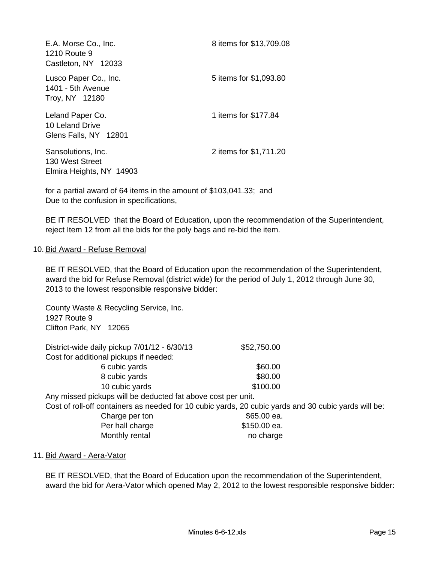| E.A. Morse Co., Inc.<br>1210 Route 9<br>Castleton, NY 12033       | 8 items for \$13,709.08 |
|-------------------------------------------------------------------|-------------------------|
| Lusco Paper Co., Inc.<br>1401 - 5th Avenue<br>Troy, NY 12180      | 5 items for \$1,093.80  |
| Leland Paper Co.<br>10 Leland Drive<br>Glens Falls, NY 12801      | 1 items for \$177.84    |
| Sansolutions, Inc.<br>130 West Street<br>Elmira Heights, NY 14903 | 2 items for \$1,711.20  |

for a partial award of 64 items in the amount of \$103,041.33; and Due to the confusion in specifications,

BE IT RESOLVED that the Board of Education, upon the recommendation of the Superintendent, reject Item 12 from all the bids for the poly bags and re-bid the item.

### 10. Bid Award - Refuse Removal

BE IT RESOLVED, that the Board of Education upon the recommendation of the Superintendent, award the bid for Refuse Removal (district wide) for the period of July 1, 2012 through June 30, 2013 to the lowest responsible responsive bidder:

County Waste & Recycling Service, Inc. 1927 Route 9 Clifton Park, NY 12065 District-wide daily pickup 7/01/12 - 6/30/13 Cost for additional pickups if needed: 6 cubic yards 8 cubic yards 10 cubic yards Any missed pickups will be deducted fat above cost per unit. Cost of roll-off containers as needed for 10 cubic yards, 20 cubic yards and 30 cubic yards will be: Charge per ton \$65.00 ea. Per hall charge \$150.00 ea. Monthly rental no charge no charge \$52,750.00 \$60.00 \$80.00 \$100.00

#### 11. Bid Award - Aera-Vator

BE IT RESOLVED, that the Board of Education upon the recommendation of the Superintendent, award the bid for Aera-Vator which opened May 2, 2012 to the lowest responsible responsive bidder: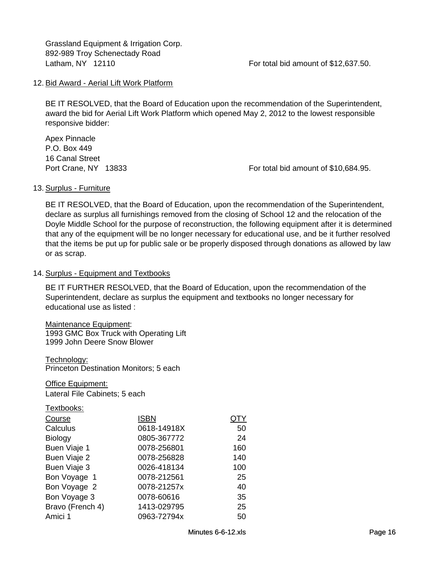Grassland Equipment & Irrigation Corp. 892-989 Troy Schenectady Road Latham, NY 12110 **For total bid amount of \$12,637.50.** 

#### 12. Bid Award - Aerial Lift Work Platform

BE IT RESOLVED, that the Board of Education upon the recommendation of the Superintendent, award the bid for Aerial Lift Work Platform which opened May 2, 2012 to the lowest responsible responsive bidder:

Apex Pinnacle P.O. Box 449 16 Canal Street

Port Crane, NY 13833 For total bid amount of \$10,684.95.

#### 13. Surplus - Furniture

BE IT RESOLVED, that the Board of Education, upon the recommendation of the Superintendent, declare as surplus all furnishings removed from the closing of School 12 and the relocation of the Doyle Middle School for the purpose of reconstruction, the following equipment after it is determined that any of the equipment will be no longer necessary for educational use, and be it further resolved that the items be put up for public sale or be properly disposed through donations as allowed by law or as scrap.

#### 14. Surplus - Equipment and Textbooks

BE IT FURTHER RESOLVED, that the Board of Education, upon the recommendation of the Superintendent, declare as surplus the equipment and textbooks no longer necessary for educational use as listed :

Maintenance Equipment: 1993 GMC Box Truck with Operating Lift 1999 John Deere Snow Blower

Technology:

Princeton Destination Monitors; 5 each

Office Equipment: Lateral File Cabinets; 5 each

Textbooks:

| Course           | <b>ISBN</b> |     |
|------------------|-------------|-----|
| Calculus         | 0618-14918X | 50  |
| <b>Biology</b>   | 0805-367772 | 24  |
| Buen Viaje 1     | 0078-256801 | 160 |
| Buen Viaje 2     | 0078-256828 | 140 |
| Buen Viaje 3     | 0026-418134 | 100 |
| Bon Voyage 1     | 0078-212561 | 25  |
| Bon Voyage 2     | 0078-21257x | 40  |
| Bon Voyage 3     | 0078-60616  | 35  |
| Bravo (French 4) | 1413-029795 | 25  |
| Amici 1          | 0963-72794x | 50  |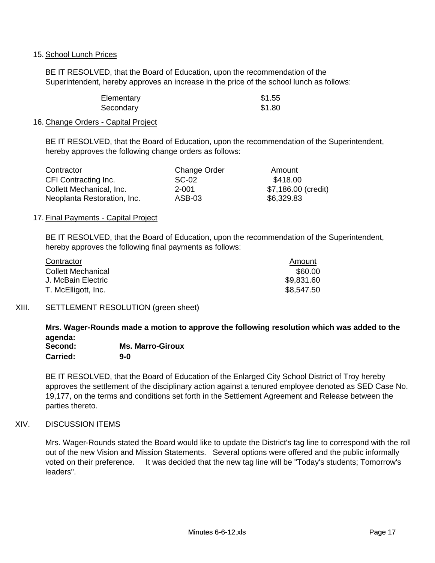### 15. School Lunch Prices

BE IT RESOLVED, that the Board of Education, upon the recommendation of the Superintendent, hereby approves an increase in the price of the school lunch as follows:

| Elementary | \$1.55 |
|------------|--------|
| Secondary  | \$1.80 |

#### 16. Change Orders - Capital Project

BE IT RESOLVED, that the Board of Education, upon the recommendation of the Superintendent, hereby approves the following change orders as follows:

| Contractor                  | Change Order | Amount              |
|-----------------------------|--------------|---------------------|
| CFI Contracting Inc.        | $SC-02$      | \$418.00            |
| Collett Mechanical, Inc.    | 2-001        | \$7,186.00 (credit) |
| Neoplanta Restoration, Inc. | ASB-03       | \$6,329.83          |

#### 17. Final Payments - Capital Project

BE IT RESOLVED, that the Board of Education, upon the recommendation of the Superintendent, hereby approves the following final payments as follows:

| Contractor                | Amount     |
|---------------------------|------------|
| <b>Collett Mechanical</b> | \$60.00    |
| J. McBain Electric        | \$9,831.60 |
| T. McElligott, Inc.       | \$8,547.50 |

## XIII. SETTLEMENT RESOLUTION (green sheet)

**Mrs. Wager-Rounds made a motion to approve the following resolution which was added to the agenda:**

| Second:         | <b>Ms. Marro-Giroux</b> |
|-----------------|-------------------------|
| <b>Carried:</b> | $9-0$                   |

BE IT RESOLVED, that the Board of Education of the Enlarged City School District of Troy hereby approves the settlement of the disciplinary action against a tenured employee denoted as SED Case No. 19,177, on the terms and conditions set forth in the Settlement Agreement and Release between the parties thereto.

## XIV. DISCUSSION ITEMS

Mrs. Wager-Rounds stated the Board would like to update the District's tag line to correspond with the roll out of the new Vision and Mission Statements. Several options were offered and the public informally voted on their preference. It was decided that the new tag line will be "Today's students; Tomorrow's leaders".